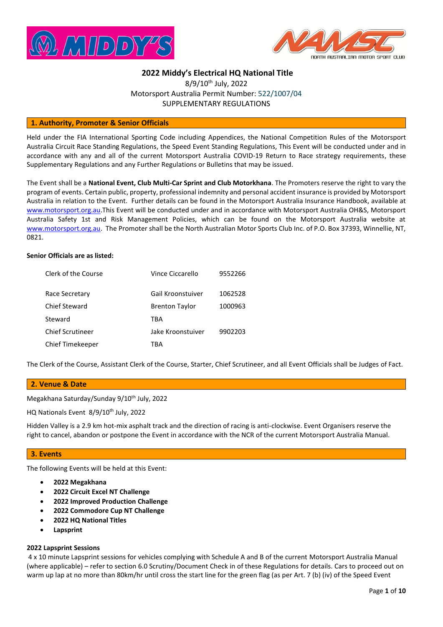



# **2022 Middy's Electrical HQ National Title**

8/9/10<sup>th</sup> July, 2022 Motorsport Australia Permit Number: 522/1007/04 SUPPLEMENTARY REGULATIONS

#### **1. Authority, Promoter & Senior Officials**

Held under the FIA International Sporting Code including Appendices, the National Competition Rules of the Motorsport Australia Circuit Race Standing Regulations, the Speed Event Standing Regulations, This Event will be conducted under and in accordance with any and all of the current Motorsport Australia COVID-19 Return to Race strategy requirements, these Supplementary Regulations and any Further Regulations or Bulletins that may be issued.

The Event shall be a **National Event, Club Multi-Car Sprint and Club Motorkhana**. The Promoters reserve the right to vary the program of events. Certain public, property, professional indemnity and personal accident insurance is provided by Motorsport Australia in relation to the Event. Further details can be found in the Motorsport Australia Insurance Handbook, available at [www.motorsport.org.au.](http://www.motorsport.org.au/)This Event will be conducted under and in accordance with Motorsport Australia OH&S, Motorsport Australia Safety 1st and Risk Management Policies, which can be found on the Motorsport Australia website at [www.motorsport.org.au.](http://www.motorsport.org.au/) The Promoter shall be the North Australian Motor Sports Club Inc. of P.O. Box 37393, Winnellie, NT, 0821.

#### **Senior Officials are as listed:**

| Clerk of the Course     | Vince Ciccarello      | 9552266 |
|-------------------------|-----------------------|---------|
| Race Secretary          | Gail Kroonstuiver     | 1062528 |
| Chief Steward           | <b>Brenton Taylor</b> | 1000963 |
| Steward                 | TRA                   |         |
| <b>Chief Scrutineer</b> | Jake Kroonstuiver     | 9902203 |
| Chief Timekeeper        | TRA                   |         |

The Clerk of the Course, Assistant Clerk of the Course, Starter, Chief Scrutineer, and all Event Officials shall be Judges of Fact.

# **2. Venue & Date**

Megakhana Saturday/Sunday 9/10<sup>th</sup> July, 2022

HQ Nationals Event 8/9/10<sup>th</sup> July, 2022

Hidden Valley is a 2.9 km hot-mix asphalt track and the direction of racing is anti-clockwise. Event Organisers reserve the right to cancel, abandon or postpone the Event in accordance with the NCR of the current Motorsport Australia Manual.

#### **3. Events**

The following Events will be held at this Event:

- **2022 Megakhana**
- **2022 Circuit Excel NT Challenge**
- **2022 Improved Production Challenge**
- **2022 Commodore Cup NT Challenge**
- **2022 HQ National Titles**
- **Lapsprint**

#### **2022 Lapsprint Sessions**

4 x 10 minute Lapsprint sessions for vehicles complying with Schedule A and B of the current Motorsport Australia Manual (where applicable) – refer to section 6.0 Scrutiny/Document Check in of these Regulations for details. Cars to proceed out on warm up lap at no more than 80km/hr until cross the start line for the green flag (as per Art. 7 (b) (iv) of the Speed Event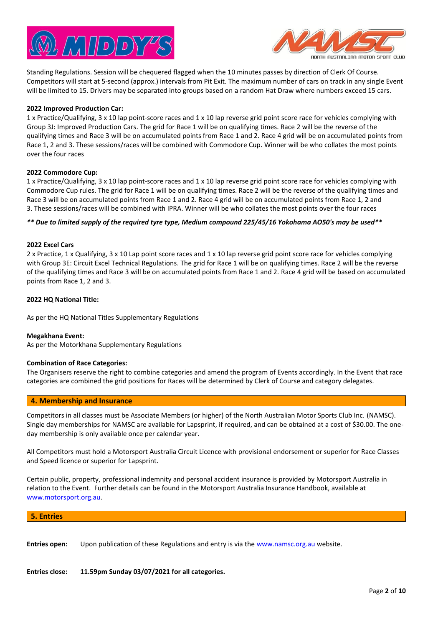



Standing Regulations. Session will be chequered flagged when the 10 minutes passes by direction of Clerk Of Course. Competitors will start at 5-second (approx.) intervals from Pit Exit. The maximum number of cars on track in any single Event will be limited to 15. Drivers may be separated into groups based on a random Hat Draw where numbers exceed 15 cars.

#### **2022 Improved Production Car:**

1 x Practice/Qualifying, 3 x 10 lap point-score races and 1 x 10 lap reverse grid point score race for vehicles complying with Group 3J: Improved Production Cars. The grid for Race 1 will be on qualifying times. Race 2 will be the reverse of the qualifying times and Race 3 will be on accumulated points from Race 1 and 2. Race 4 grid will be on accumulated points from Race 1, 2 and 3. These sessions/races will be combined with Commodore Cup. Winner will be who collates the most points over the four races

#### **2022 Commodore Cup:**

1 x Practice/Qualifying, 3 x 10 lap point-score races and 1 x 10 lap reverse grid point score race for vehicles complying with Commodore Cup rules. The grid for Race 1 will be on qualifying times. Race 2 will be the reverse of the qualifying times and Race 3 will be on accumulated points from Race 1 and 2. Race 4 grid will be on accumulated points from Race 1, 2 and 3. These sessions/races will be combined with IPRA. Winner will be who collates the most points over the four races

#### *\*\* Due to limited supply of the required tyre type, Medium compound 225/45/16 Yokohama AO50's may be used\*\**

#### **2022 Excel Cars**

2 x Practice, 1 x Qualifying, 3 x 10 Lap point score races and 1 x 10 lap reverse grid point score race for vehicles complying with Group 3E: [Circuit Excel](https://www.motorsport.org.au/docs/default-source/manual/race/2021/ra23-group-3e-circuitexcel.pdf?sfvrsn=5fb4720d_7) Technical Regulations. The grid for Race 1 will be on qualifying times. Race 2 will be the reverse of the qualifying times and Race 3 will be on accumulated points from Race 1 and 2. Race 4 grid will be based on accumulated points from Race 1, 2 and 3.

#### **2022 HQ National Title:**

As per the HQ National Titles Supplementary Regulations

#### **Megakhana Event:**

As per the Motorkhana Supplementary Regulations

#### **Combination of Race Categories:**

The Organisers reserve the right to combine categories and amend the program of Events accordingly. In the Event that race categories are combined the grid positions for Races will be determined by Clerk of Course and category delegates.

# **4. Membership and Insurance**

Competitors in all classes must be Associate Members (or higher) of the North Australian Motor Sports Club Inc. (NAMSC). Single day memberships for NAMSC are available for Lapsprint, if required, and can be obtained at a cost of \$30.00. The oneday membership is only available once per calendar year.

All Competitors must hold a Motorsport Australia Circuit Licence with provisional endorsement or superior for Race Classes and Speed licence or superior for Lapsprint.

Certain public, property, professional indemnity and personal accident insurance is provided by Motorsport Australia in relation to the Event. Further details can be found in the Motorsport Australia Insurance Handbook, available at [www.motorsport.org.au.](http://www.motorsport.org.au/)

# **5. Entries**

**Entries open:** Upon publication of these Regulations and entry is via the www.namsc.org.au website.

**Entries close: 11.59pm Sunday 03/07/2021 for all categories.**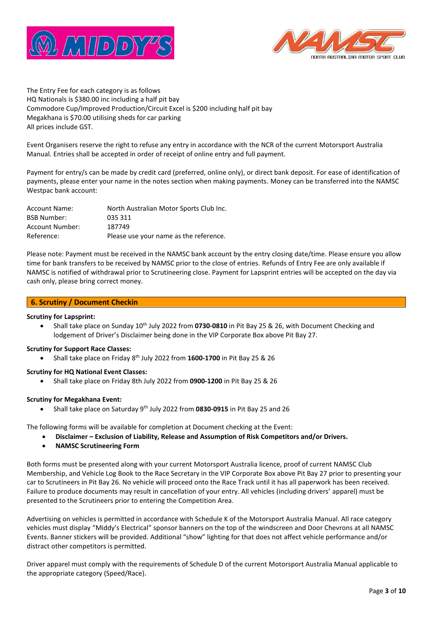



The Entry Fee for each category is as follows HQ Nationals is \$380.00 inc including a half pit bay Commodore Cup/Improved Production/Circuit Excel is \$200 including half pit bay Megakhana is \$70.00 utilising sheds for car parking All prices include GST.

Event Organisers reserve the right to refuse any entry in accordance with the NCR of the current Motorsport Australia Manual. Entries shall be accepted in order of receipt of online entry and full payment.

Payment for entry/s can be made by credit card (preferred, online only), or direct bank deposit. For ease of identification of payments, please enter your name in the notes section when making payments. Money can be transferred into the NAMSC Westpac bank account:

| <b>Account Name:</b> | North Australian Motor Sports Club Inc. |
|----------------------|-----------------------------------------|
| <b>BSB Number:</b>   | 035 311                                 |
| Account Number:      | 187749                                  |
| Reference:           | Please use your name as the reference.  |

Please note: Payment must be received in the NAMSC bank account by the entry closing date/time. Please ensure you allow time for bank transfers to be received by NAMSC prior to the close of entries. Refunds of Entry Fee are only available if NAMSC is notified of withdrawal prior to Scrutineering close. Payment for Lapsprint entries will be accepted on the day via cash only, please bring correct money.

# **6. Scrutiny / Document Checkin**

# **Scrutiny for Lapsprint:**

• Shall take place on Sunday 10th July 2022 from **0730-0810** in Pit Bay 25 & 26, with Document Checking and lodgement of Driver's Disclaimer being done in the VIP Corporate Box above Pit Bay 27.

# **Scrutiny for Support Race Classes:**

• Shall take place on Friday 8<sup>th</sup> July 2022 from 1600-1700 in Pit Bay 25 & 26

# **Scrutiny for HQ National Event Classes:**

• Shall take place on Friday 8th July 2022 from **0900-1200** in Pit Bay 25 & 26

# **Scrutiny for Megakhana Event:**

• Shall take place on Saturday 9th July 2022 from **0830-0915** in Pit Bay 25 and 26

The following forms will be available for completion at Document checking at the Event:

- **Disclaimer – Exclusion of Liability, Release and Assumption of Risk Competitors and/or Drivers.**
- **NAMSC Scrutineering Form**

Both forms must be presented along with your current Motorsport Australia licence, proof of current NAMSC Club Membership, and Vehicle Log Book to the Race Secretary in the VIP Corporate Box above Pit Bay 27 prior to presenting your car to Scrutineers in Pit Bay 26. No vehicle will proceed onto the Race Track until it has all paperwork has been received. Failure to produce documents may result in cancellation of your entry. All vehicles (including drivers' apparel) must be presented to the Scrutineers prior to entering the Competition Area.

Advertising on vehicles is permitted in accordance with Schedule K of the Motorsport Australia Manual. All race category vehicles must display "Middy's Electrical" sponsor banners on the top of the windscreen and Door Chevrons at all NAMSC Events. Banner stickers will be provided. Additional "show" lighting for that does not affect vehicle performance and/or distract other competitors is permitted.

Driver apparel must comply with the requirements of Schedule D of the current Motorsport Australia Manual applicable to the appropriate category (Speed/Race).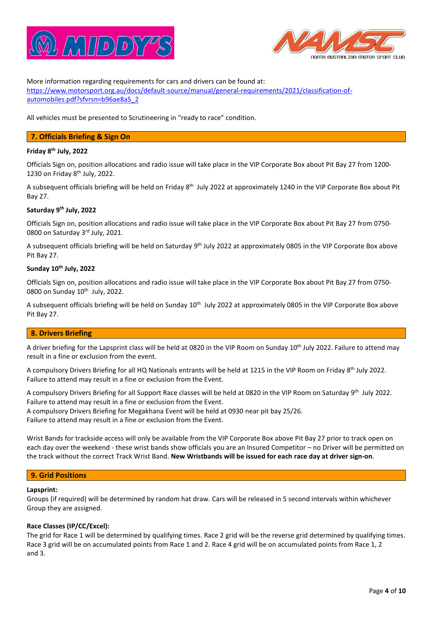



More information regarding requirements for cars and drivers can be found at: [https://www.motorsport.org.au/docs/default-source/manual/general-requirements/2021/classification-of](https://www.motorsport.org.au/docs/default-source/manual/general-requirements/2021/classification-of-automobiles.pdf?sfvrsn=b96ae8a5_2)[automobiles.pdf?sfvrsn=b96ae8a5\\_2](https://www.motorsport.org.au/docs/default-source/manual/general-requirements/2021/classification-of-automobiles.pdf?sfvrsn=b96ae8a5_2)

All vehicles must be presented to Scrutineering in "ready to race" condition.

# **7. Officials Briefing & Sign On**

# **Friday 8 th July, 2022**

Officials Sign on, position allocations and radio issue will take place in the VIP Corporate Box about Pit Bay 27 from 1200- 1230 on Friday 8 th July, 2022.

A subsequent officials briefing will be held on Friday 8<sup>th</sup> July 2022 at approximately 1240 in the VIP Corporate Box about Pit Bay 27.

# **Saturday 9 th July, 2022**

Officials Sign on, position allocations and radio issue will take place in the VIP Corporate Box about Pit Bay 27 from 0750- 0800 on Saturday 3rd July, 2021.

A subsequent officials briefing will be held on Saturday 9<sup>th</sup> July 2022 at approximately 0805 in the VIP Corporate Box above Pit Bay 27.

#### **Sunday 10th July, 2022**

Officials Sign on, position allocations and radio issue will take place in the VIP Corporate Box about Pit Bay 27 from 0750- 0800 on Sunday 10<sup>th</sup> July, 2022.

A subsequent officials briefing will be held on Sunday 10<sup>th</sup> July 2022 at approximately 0805 in the VIP Corporate Box above Pit Bay 27.

# **8. Drivers Briefing**

A driver briefing for the Lapsprint class will be held at 0820 in the VIP Room on Sunday 10<sup>th</sup> July 2022. Failure to attend may result in a fine or exclusion from the event.

A compulsory Drivers Briefing for all HQ Nationals entrants will be held at 1215 in the VIP Room on Friday 8<sup>th</sup> July 2022. Failure to attend may result in a fine or exclusion from the Event.

A compulsory Drivers Briefing for all Support Race classes will be held at 0820 in the VIP Room on Saturday 9<sup>th</sup> July 2022. Failure to attend may result in a fine or exclusion from the Event. A compulsory Drivers Briefing for Megakhana Event will be held at 0930 near pit bay 25/26.

Failure to attend may result in a fine or exclusion from the Event.

Wrist Bands for trackside access will only be available from the VIP Corporate Box above Pit Bay 27 prior to track open on each day over the weekend - these wrist bands show officials you are an Insured Competitor – no Driver will be permitted on the track without the correct Track Wrist Band. **New Wristbands will be issued for each race day at driver sign-on**.

# **9. Grid Positions**

#### **Lapsprint:**

Groups (if required) will be determined by random hat draw. Cars will be released in 5 second intervals within whichever Group they are assigned.

#### **Race Classes (IP/CC/Excel):**

The grid for Race 1 will be determined by qualifying times. Race 2 grid will be the reverse grid determined by qualifying times. Race 3 grid will be on accumulated points from Race 1 and 2. Race 4 grid will be on accumulated points from Race 1, 2 and 3.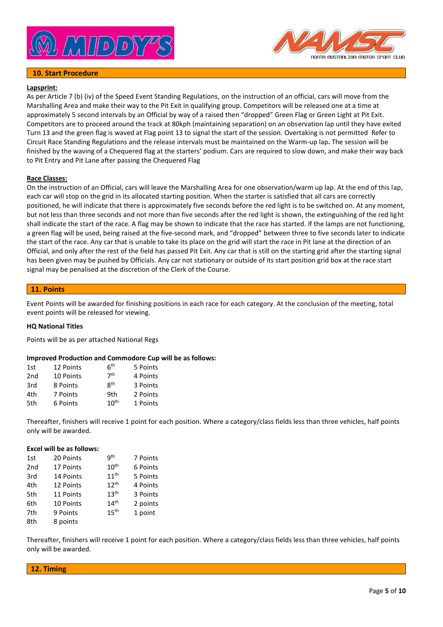

# **10. Start Procedure**



# **Lapsprint:**

As per Article 7 (b) (iv) of the Speed Event Standing Regulations, on the instruction of an official, cars will move from the Marshalling Area and make their way to the Pit Exit in qualifying group. Competitors will be released one at a time at approximately 5 second intervals by an Official by way of a raised then "dropped" Green Flag or Green Light at Pit Exit. Competitors are to proceed around the track at 80kph (maintaining separation) on an observation lap until they have exited Turn 13 and the green flag is waved at Flag point 13 to signal the start of the session. Overtaking is not permitted Refer to Circuit Race Standing Regulations and the release intervals must be maintained on the Warm-up lap**.** The session will be finished by the waving of a Chequered flag at the starters' podium. Cars are required to slow down, and make their way back to Pit Entry and Pit Lane after passing the Chequered Flag

#### **Race Classes:**

On the instruction of an Official, cars will leave the Marshalling Area for one observation/warm up lap. At the end of this lap, each car will stop on the grid in its allocated starting position. When the starter is satisfied that all cars are correctly positioned, he will indicate that there is approximately five seconds before the red light is to be switched on. At any moment, but not less than three seconds and not more than five seconds after the red light is shown, the extinguishing of the red light shall indicate the start of the race. A flag may be shown to indicate that the race has started. If the lamps are not functioning, a green flag will be used, being raised at the five-second mark, and "dropped" between three to five seconds later to indicate the start of the race. Any car that is unable to take its place on the grid will start the race in Pit lane at the direction of an Official, and only after the rest of the field has passed Pit Exit. Any car that is still on the starting grid after the starting signal has been given may be pushed by Officials. Any car not stationary or outside of its start position grid box at the race start signal may be penalised at the discretion of the Clerk of the Course.

#### **11. Points**

Event Points will be awarded for finishing positions in each race for each category. At the conclusion of the meeting, total event points will be released for viewing.

#### **HQ National Titles**

Points will be as per attached National Regs

#### **Improved Production and Commodore Cup will be as follows:**

| 1st             | 12 Points | 6 <sup>th</sup>  | 5 Points |
|-----------------|-----------|------------------|----------|
| 2 <sub>nd</sub> | 10 Points | 7 <sup>th</sup>  | 4 Points |
| 3rd             | 8 Points  | <b>gth</b>       | 3 Points |
| 4th             | 7 Points  | 9th              | 2 Points |
| 5th             | 6 Points  | 10 <sup>th</sup> | 1 Points |

Thereafter, finishers will receive 1 point for each position. Where a category/class fields less than three vehicles, half points only will be awarded.

#### **Excel will be as follows:**

| 1st             | 20 Points | qth              | 7 Points |
|-----------------|-----------|------------------|----------|
| 2 <sub>nd</sub> | 17 Points | 10 <sup>th</sup> | 6 Points |
| 3rd             | 14 Points | 11 <sup>th</sup> | 5 Points |
| 4th             | 12 Points | 12 <sup>th</sup> | 4 Points |
| 5th             | 11 Points | 13 <sup>th</sup> | 3 Points |
| 6th             | 10 Points | 14 <sup>th</sup> | 2 points |
| 7th             | 9 Points  | 15 <sup>th</sup> | 1 point  |
| 8th             | 8 points  |                  |          |

Thereafter, finishers will receive 1 point for each position. Where a category/class fields less than three vehicles, half points only will be awarded.

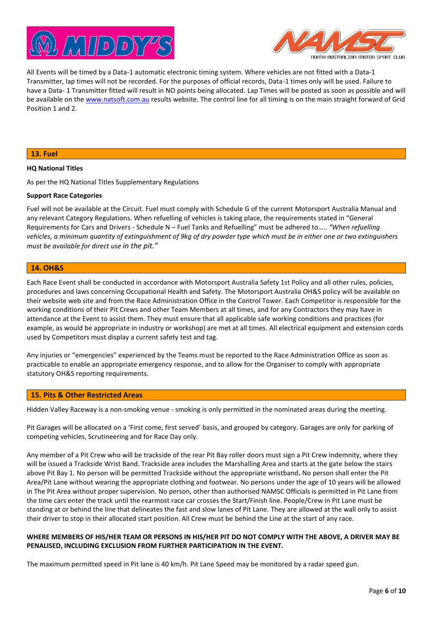



All Events will be timed by a Data-1 automatic electronic timing system. Where vehicles are not fitted with a Data-1 Transmitter, lap times will not be recorded. For the purposes of official records, Data-1 times only will be used. Failure to have a Data- 1 Transmitter fitted will result in NO points being allocated. Lap Times will be posted as soon as possible and will be available on th[e www.natsoft.com.au](http://www.natsoft.com.au/) results website. The control line for all timing is on the main straight forward of Grid Position 1 and 2.

#### **13. Fuel**

#### **HQ National Titles**

As per the HQ National Titles Supplementary Regulations

#### **Support Race Categories**

Fuel will not be available at the Circuit. Fuel must comply with Schedule G of the current Motorsport Australia Manual and any relevant Category Regulations. When refuelling of vehicles is taking place, the requirements stated in "General Requirements for Cars and Drivers - Schedule N – Fuel Tanks and Refuelling" must be adhered to….. *"When refuelling vehicles, a minimum quantity of extinguishment of 9kg of dry powder type which must be in either one or two extinguishers must be available for direct use in the pit."*

#### **14. OH&S**

Each Race Event shall be conducted in accordance with Motorsport Australia Safety 1st Policy and all other rules, policies, procedures and laws concerning Occupational Health and Safety. The Motorsport Australia OH&S policy will be available on their website web site and from the Race Administration Office in the Control Tower. Each Competitor is responsible for the working conditions of their Pit Crews and other Team Members at all times, and for any Contractors they may have in attendance at the Event to assist them. They must ensure that all applicable safe working conditions and practices (for example, as would be appropriate in industry or workshop) are met at all times. All electrical equipment and extension cords used by Competitors must display a current safety test and tag.

Any injuries or "emergencies" experienced by the Teams must be reported to the Race Administration Office as soon as practicable to enable an appropriate emergency response, and to allow for the Organiser to comply with appropriate statutory OH&S reporting requirements.

#### **15. Pits & Other Restricted Areas**

Hidden Valley Raceway is a non-smoking venue - smoking is only permitted in the nominated areas during the meeting.

Pit Garages will be allocated on a 'First come, first served' basis, and grouped by category. Garages are only for parking of competing vehicles, Scrutineering and for Race Day only.

Any member of a Pit Crew who will be trackside of the rear Pit Bay roller doors must sign a Pit Crew Indemnity, where they will be issued a Trackside Wrist Band. Trackside area includes the Marshalling Area and starts at the gate below the stairs above Pit Bay 1. No person will be permitted Trackside without the appropriate wristband**.** No person shall enter the Pit Area/Pit Lane without wearing the appropriate clothing and footwear. No persons under the age of 10 years will be allowed in The Pit Area without proper supervision. No person, other than authorised NAMSC Officials is permitted in Pit Lane from the time cars enter the track until the rearmost race car crosses the Start/Finish line. People/Crew in Pit Lane must be standing at or behind the line that delineates the fast and slow lanes of Pit Lane. They are allowed at the wall only to assist their driver to stop in their allocated start position. All Crew must be behind the Line at the start of any race.

#### **WHERE MEMBERS OF HIS/HER TEAM OR PERSONS IN HIS/HER PIT DO NOT COMPLY WITH THE ABOVE, A DRIVER MAY BE PENALISED, INCLUDING EXCLUSION FROM FURTHER PARTICIPATION IN THE EVENT.**

The maximum permitted speed in Pit lane is 40 km/h. Pit Lane Speed may be monitored by a radar speed gun.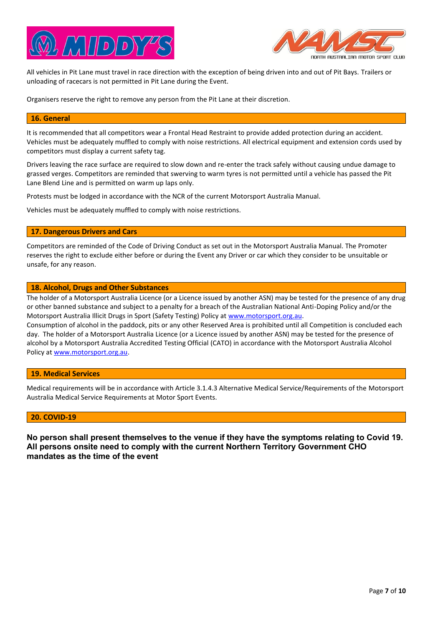



All vehicles in Pit Lane must travel in race direction with the exception of being driven into and out of Pit Bays. Trailers or unloading of racecars is not permitted in Pit Lane during the Event.

Organisers reserve the right to remove any person from the Pit Lane at their discretion.

#### **16. General**

It is recommended that all competitors wear a Frontal Head Restraint to provide added protection during an accident. Vehicles must be adequately muffled to comply with noise restrictions. All electrical equipment and extension cords used by competitors must display a current safety tag.

Drivers leaving the race surface are required to slow down and re-enter the track safely without causing undue damage to grassed verges. Competitors are reminded that swerving to warm tyres is not permitted until a vehicle has passed the Pit Lane Blend Line and is permitted on warm up laps only.

Protests must be lodged in accordance with the NCR of the current Motorsport Australia Manual.

Vehicles must be adequately muffled to comply with noise restrictions.

#### **17. Dangerous Drivers and Cars**

Competitors are reminded of the Code of Driving Conduct as set out in the Motorsport Australia Manual. The Promoter reserves the right to exclude either before or during the Event any Driver or car which they consider to be unsuitable or unsafe, for any reason.

#### **18. Alcohol, Drugs and Other Substances**

The holder of a Motorsport Australia Licence (or a Licence issued by another ASN) may be tested for the presence of any drug or other banned substance and subject to a penalty for a breach of the Australian National Anti-Doping Policy and/or the Motorsport Australia Illicit Drugs in Sport (Safety Testing) Policy a[t www.motorsport.org.au.](http://www.motorsport.org.au/)

Consumption of alcohol in the paddock, pits or any other Reserved Area is prohibited until all Competition is concluded each day. The holder of a Motorsport Australia Licence (or a Licence issued by another ASN) may be tested for the presence of alcohol by a Motorsport Australia Accredited Testing Official (CATO) in accordance with the Motorsport Australia Alcohol Policy a[t www.motorsport.org.au.](http://www.motorsport.org.au/)

#### **19. Medical Services**

Medical requirements will be in accordance with Article 3.1.4.3 Alternative Medical Service/Requirements of the Motorsport Australia Medical Service Requirements at Motor Sport Events.

# **20. COVID-19**

**No person shall present themselves to the venue if they have the symptoms relating to Covid 19. All persons onsite need to comply with the current Northern Territory Government CHO mandates as the time of the event**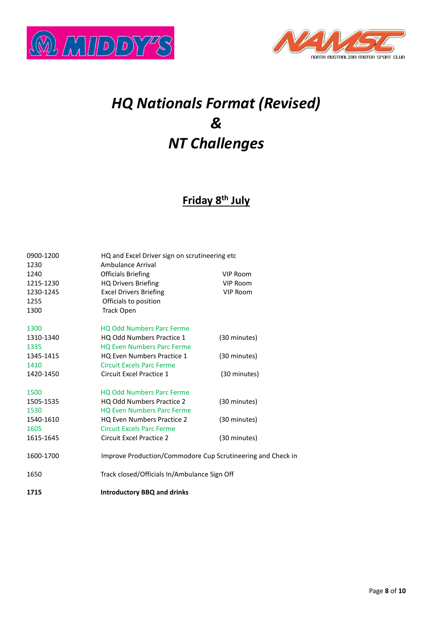



# *HQ Nationals Format (Revised) & NT Challenges*

# **Friday 8th July**

| 0900-1200    | HQ and Excel Driver sign on scrutineering etc               |                 |  |
|--------------|-------------------------------------------------------------|-----------------|--|
| 1230<br>1240 | Ambulance Arrival                                           | <b>VIP Room</b> |  |
| 1215-1230    | <b>Officials Briefing</b><br><b>HQ Drivers Briefing</b>     | VIP Room        |  |
| 1230-1245    | <b>Excel Drivers Briefing</b>                               | <b>VIP Room</b> |  |
| 1255         | Officials to position                                       |                 |  |
| 1300         | <b>Track Open</b>                                           |                 |  |
|              |                                                             |                 |  |
| 1300         | <b>HQ Odd Numbers Parc Ferme</b>                            |                 |  |
| 1310-1340    | HQ Odd Numbers Practice 1                                   | (30 minutes)    |  |
| 1335         | <b>HQ Even Numbers Parc Ferme</b>                           |                 |  |
| 1345-1415    | HQ Even Numbers Practice 1                                  | (30 minutes)    |  |
| 1410         | <b>Circuit Excels Parc Ferme</b>                            |                 |  |
| 1420-1450    | Circuit Excel Practice 1                                    | (30 minutes)    |  |
| 1500         | <b>HQ Odd Numbers Parc Ferme</b>                            |                 |  |
| 1505-1535    | <b>HQ Odd Numbers Practice 2</b>                            | (30 minutes)    |  |
| 1530         | <b>HQ Even Numbers Parc Ferme</b>                           |                 |  |
| 1540-1610    | <b>HQ Even Numbers Practice 2</b>                           | (30 minutes)    |  |
| 1605         | <b>Circuit Excels Parc Ferme</b>                            |                 |  |
| 1615-1645    | <b>Circuit Excel Practice 2</b>                             | (30 minutes)    |  |
| 1600-1700    | Improve Production/Commodore Cup Scrutineering and Check in |                 |  |
| 1650         | Track closed/Officials In/Ambulance Sign Off                |                 |  |
| 1715         | <b>Introductory BBQ and drinks</b>                          |                 |  |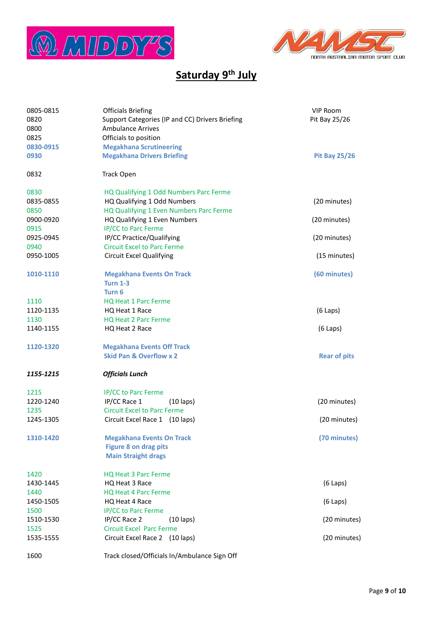



# **Saturday 9th July**

| 0805-0815<br>0820<br>0800<br>0825<br>0830-0915<br>0930 | <b>Officials Briefing</b><br>Support Categories (IP and CC) Drivers Briefing<br><b>Ambulance Arrives</b><br>Officials to position<br><b>Megakhana Scrutineering</b><br><b>Megakhana Drivers Briefing</b> | VIP Room<br>Pit Bay 25/26<br><b>Pit Bay 25/26</b> |
|--------------------------------------------------------|----------------------------------------------------------------------------------------------------------------------------------------------------------------------------------------------------------|---------------------------------------------------|
| 0832                                                   | <b>Track Open</b>                                                                                                                                                                                        |                                                   |
| 0830<br>0835-0855<br>0850                              | HQ Qualifying 1 Odd Numbers Parc Ferme<br>HQ Qualifying 1 Odd Numbers<br>HQ Qualifying 1 Even Numbers Parc Ferme                                                                                         | (20 minutes)                                      |
| 0900-0920                                              | HQ Qualifying 1 Even Numbers                                                                                                                                                                             | (20 minutes)                                      |
| 0915<br>0925-0945<br>0940                              | IP/CC to Parc Ferme<br>IP/CC Practice/Qualifying<br><b>Circuit Excel to Parc Ferme</b>                                                                                                                   | (20 minutes)                                      |
| 0950-1005                                              | <b>Circuit Excel Qualifying</b>                                                                                                                                                                          | (15 minutes)                                      |
| 1010-1110                                              | <b>Megakhana Events On Track</b><br><b>Turn 1-3</b><br>Turn 6                                                                                                                                            | (60 minutes)                                      |
| 1110<br>1120-1135<br>1130                              | <b>HQ Heat 1 Parc Ferme</b><br>HQ Heat 1 Race<br><b>HQ Heat 2 Parc Ferme</b>                                                                                                                             | $(6$ Laps)                                        |
| 1140-1155                                              | HQ Heat 2 Race                                                                                                                                                                                           | $(6$ Laps)                                        |
| 1120-1320                                              | <b>Megakhana Events Off Track</b><br><b>Skid Pan &amp; Overflow x 2</b>                                                                                                                                  | <b>Rear of pits</b>                               |
| 1155-1215                                              | <b>Officials Lunch</b>                                                                                                                                                                                   |                                                   |
| 1215<br>1220-1240<br>1235<br>1245-1305                 | IP/CC to Parc Ferme<br>IP/CC Race 1<br>$(10 \text{ laps})$<br><b>Circuit Excel to Parc Ferme</b><br>Circuit Excel Race 1 (10 laps)                                                                       | (20 minutes)<br>(20 minutes)                      |
| 1310-1420                                              | <b>Megakhana Events On Track</b><br><b>Figure 8 on drag pits</b><br><b>Main Straight drags</b>                                                                                                           | (70 minutes)                                      |
| 1420<br>1430-1445                                      | <b>HQ Heat 3 Parc Ferme</b><br>HQ Heat 3 Race                                                                                                                                                            | $(6$ Laps)                                        |
| 1440                                                   | HQ Heat 4 Parc Ferme                                                                                                                                                                                     |                                                   |
| 1450-1505<br>1500                                      | HQ Heat 4 Race<br>IP/CC to Parc Ferme                                                                                                                                                                    | $(6$ Laps)                                        |
| 1510-1530                                              | IP/CC Race 2<br>$(10 \text{ laps})$                                                                                                                                                                      | (20 minutes)                                      |
| 1525<br>1535-1555                                      | <b>Circuit Excel Parc Ferme</b><br>Circuit Excel Race 2 (10 laps)                                                                                                                                        | (20 minutes)                                      |
| 1600                                                   | Track closed/Officials In/Ambulance Sign Off                                                                                                                                                             |                                                   |